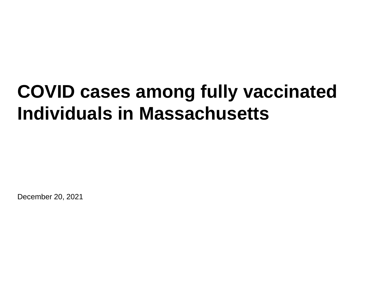# **COVID cases among fully vaccinated Individuals in Massachusetts**

December 20, 2021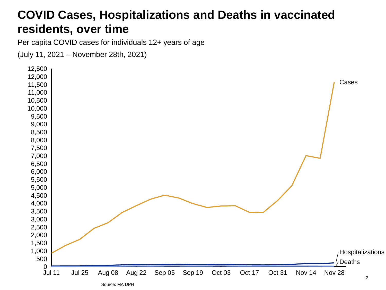### **COVID Cases, Hospitalizations and Deaths in vaccinated residents, over time**

Per capita COVID cases for individuals 12+ years of age

(July 11, 2021 – November 28th, 2021)

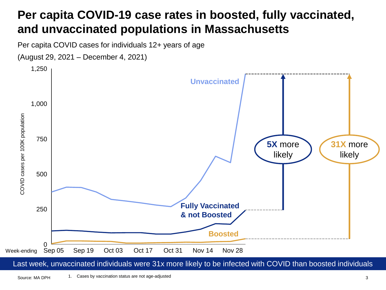# **Per capita COVID-19 case rates in boosted, fully vaccinated, and unvaccinated populations in Massachusetts**

Per capita COVID cases for individuals 12+ years of age

(August 29, 2021 – December 4, 2021)



Last week, unvaccinated individuals were 31x more likely to be infected with COVID than boosted individuals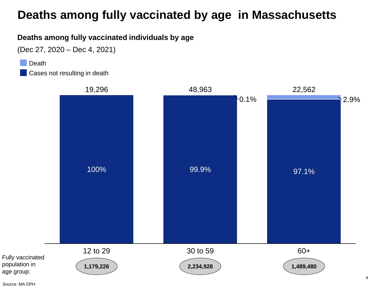#### **Deaths among fully vaccinated by age in Massachusetts**

#### **Deaths among fully vaccinated individuals by age**

(Dec 27, 2020 – Dec 4, 2021)

Death

Cases not resulting in death



age group: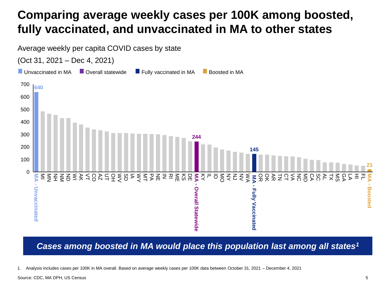# **Comparing average weekly cases per 100K among boosted, fully vaccinated, and unvaccinated in MA to other states**



*Cases among boosted in MA would place this population last among all states<sup>1</sup>*

1. Analysis includes cases per 100K in MA overall. Based on average weekly cases per 100K data between October 31, 2021 – December 4, 2021